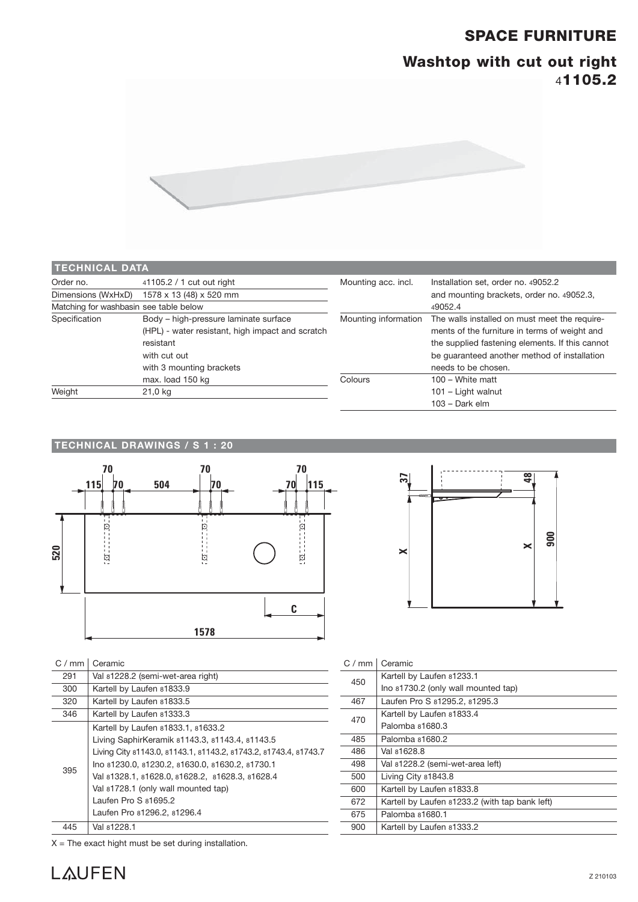## **SPACE FURNITURE**

# **Washtop with cut out right**  4**1105.2**



| <b>TECHNICAL DATA</b>                  |                                                  |                                           |                                                                                                |  |
|----------------------------------------|--------------------------------------------------|-------------------------------------------|------------------------------------------------------------------------------------------------|--|
| Order no.                              | 41105.2 / 1 cut out right                        | Mounting acc. incl.                       | Installation set, order no. 49052.2                                                            |  |
| Dimensions (WxHxD)                     | 1578 x 13 (48) x 520 mm                          | and mounting brackets, order no. 49052.3, |                                                                                                |  |
| Matching for washbasin see table below |                                                  |                                           | 49052.4                                                                                        |  |
| Specification                          | Body - high-pressure laminate surface            | Mounting information                      | The walls installed on must meet the require-<br>ments of the furniture in terms of weight and |  |
|                                        | (HPL) - water resistant, high impact and scratch |                                           |                                                                                                |  |
|                                        | resistant                                        |                                           | the supplied fastening elements. If this cannot                                                |  |
|                                        | with cut out                                     |                                           | be quaranteed another method of installation                                                   |  |
|                                        | with 3 mounting brackets                         |                                           | needs to be chosen.                                                                            |  |
|                                        | max. load 150 kg                                 | Colours                                   | $100 - White$ matt                                                                             |  |
| Weight                                 | 21,0 kg                                          |                                           | 101 - Light walnut                                                                             |  |
|                                        |                                                  |                                           | $103 - Dark$ elm                                                                               |  |

#### **TECHNICAL DRAWINGS / S 1 : 20**





#### $C / mm$  Ceramic

| 291 | Val 81228.2 (semi-wet-area right)                                |
|-----|------------------------------------------------------------------|
| 300 | Kartell by Laufen 81833.9                                        |
| 320 | Kartell by Laufen 81833.5                                        |
| 346 | Kartell by Laufen 81333.3                                        |
|     | Kartell by Laufen 81833.1, 81633.2                               |
| 395 | Living SaphirKeramik 81143.3, 81143.4, 81143.5                   |
|     | Living City 81143.0, 81143.1, 81143.2, 81743.2, 81743.4, 81743.7 |
|     | Ino 81230.0, 81230.2, 81630.0, 81630.2, 81730.1                  |
|     | Val 81328.1, 81628.0, 81628.2, 81628.3, 81628.4                  |
|     | Val 81728.1 (only wall mounted tap)                              |
|     | Laufen Pro $S$ $81695.2$                                         |
|     | Laufen Pro 81296.2, 81296.4                                      |
| 445 | Val 81228.1                                                      |

C / mm | Ceramic **450** Kartell by Laufen 81233.1 Ino 81730.2 (only wall mounted tap) 467 Laufen Pro S 81295.2, 81295.3 <sup>470</sup> Kartell by Laufen 81833.4 Palomba 81680.3 485 Palomba 81680.2 486 Val 81628.8 498 Val 81228.2 (semi-wet-area left) 500 Living City 81843.8 600 Kartell by Laufen 81833.8 672 Kartell by Laufen 81233.2 (with tap bank left) 675 Palomba 81680.1 900 Kartell by Laufen 81333.2

 $X =$  The exact hight must be set during installation.